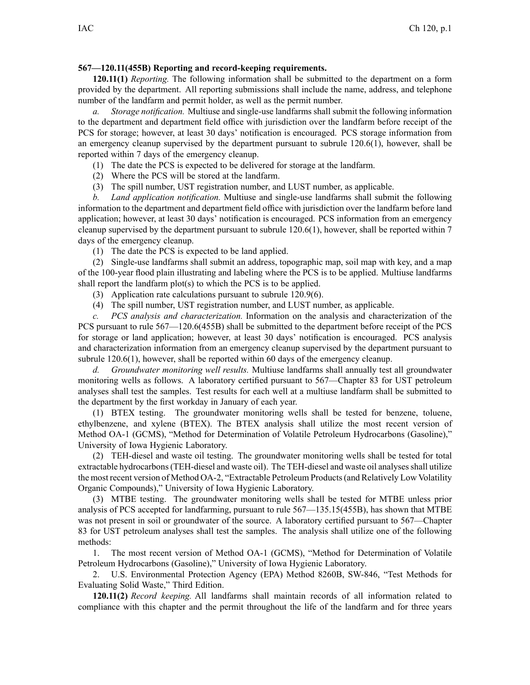## **567—120.11(455B) Reporting and record-keeping requirements.**

**120.11(1)** *Reporting.* The following information shall be submitted to the department on <sup>a</sup> form provided by the department. All reporting submissions shall include the name, address, and telephone number of the landfarm and permit holder, as well as the permit number.

*a. Storage notification.* Multiuse and single-use landfarms shall submit the following information to the department and department field office with jurisdiction over the landfarm before receipt of the PCS for storage; however, at least 30 days' notification is encouraged. PCS storage information from an emergency cleanup supervised by the department pursuan<sup>t</sup> to subrule 120.6(1), however, shall be reported within 7 days of the emergency cleanup.

- (1) The date the PCS is expected to be delivered for storage at the landfarm.
- (2) Where the PCS will be stored at the landfarm.
- (3) The spill number, UST registration number, and LUST number, as applicable.

*b. Land application notification.* Multiuse and single-use landfarms shall submit the following information to the department and department field office with jurisdiction over the landfarm before land application; however, at least 30 days' notification is encouraged. PCS information from an emergency cleanup supervised by the department pursuan<sup>t</sup> to subrule 120.6(1), however, shall be reported within 7 days of the emergency cleanup.

(1) The date the PCS is expected to be land applied.

(2) Single-use landfarms shall submit an address, topographic map, soil map with key, and <sup>a</sup> map of the 100-year flood plain illustrating and labeling where the PCS is to be applied. Multiuse landfarms shall repor<sup>t</sup> the landfarm plot(s) to which the PCS is to be applied.

- (3) Application rate calculations pursuan<sup>t</sup> to subrule 120.9(6).
- (4) The spill number, UST registration number, and LUST number, as applicable.

*c. PCS analysis and characterization.* Information on the analysis and characterization of the PCS pursuan<sup>t</sup> to rule 567—120.6(455B) shall be submitted to the department before receipt of the PCS for storage or land application; however, at least 30 days' notification is encouraged. PCS analysis and characterization information from an emergency cleanup supervised by the department pursuan<sup>t</sup> to subrule 120.6(1), however, shall be reported within 60 days of the emergency cleanup.

*d. Groundwater monitoring well results.* Multiuse landfarms shall annually test all groundwater monitoring wells as follows. A laboratory certified pursuan<sup>t</sup> to 567—Chapter 83 for UST petroleum analyses shall test the samples. Test results for each well at <sup>a</sup> multiuse landfarm shall be submitted to the department by the first workday in January of each year.

(1) BTEX testing. The groundwater monitoring wells shall be tested for benzene, toluene, ethylbenzene, and xylene (BTEX). The BTEX analysis shall utilize the most recent version of Method OA-1 (GCMS), "Method for Determination of Volatile Petroleum Hydrocarbons (Gasoline)," University of Iowa Hygienic Laboratory.

(2) TEH-diesel and waste oil testing. The groundwater monitoring wells shall be tested for total extractable hydrocarbons (TEH-diesel and waste oil). The TEH-diesel and waste oil analyses shall utilize the most recent version of Method OA-2, "Extractable Petroleum Products(and Relatively Low Volatility Organic Compounds)," University of Iowa Hygienic Laboratory.

(3) MTBE testing. The groundwater monitoring wells shall be tested for MTBE unless prior analysis of PCS accepted for landfarming, pursuan<sup>t</sup> to rule 567—135.15(455B), has shown that MTBE was not presen<sup>t</sup> in soil or groundwater of the source. A laboratory certified pursuan<sup>t</sup> to 567—Chapter 83 for UST petroleum analyses shall test the samples. The analysis shall utilize one of the following methods:

1. The most recent version of Method OA-1 (GCMS), "Method for Determination of Volatile Petroleum Hydrocarbons (Gasoline)," University of Iowa Hygienic Laboratory.

2. U.S. Environmental Protection Agency (EPA) Method 8260B, SW-846, "Test Methods for Evaluating Solid Waste," Third Edition.

**120.11(2)** *Record keeping.* All landfarms shall maintain records of all information related to compliance with this chapter and the permit throughout the life of the landfarm and for three years